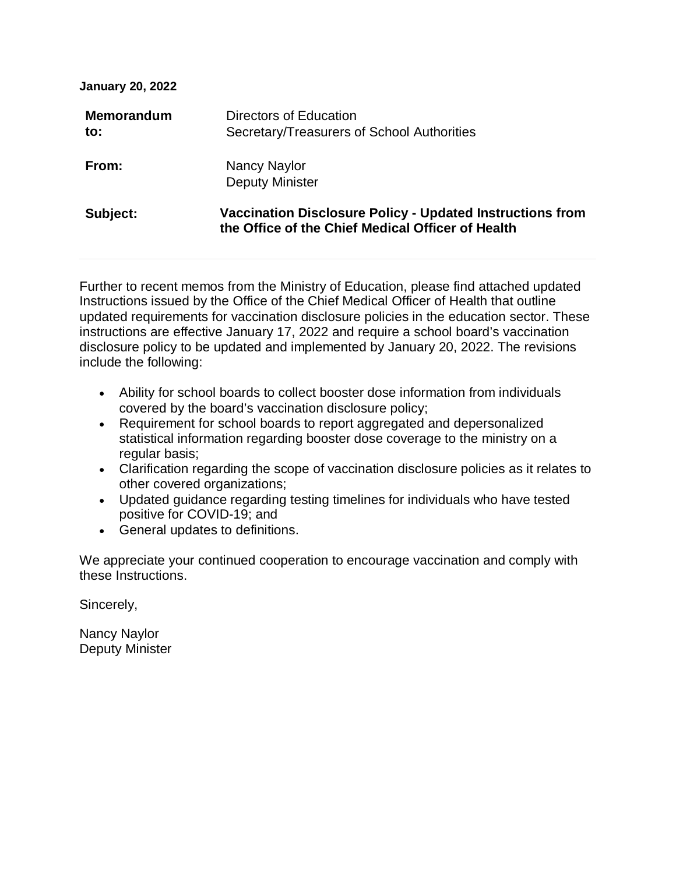| <b>Memorandum</b><br>to: | Directors of Education<br>Secretary/Treasurers of School Authorities                                           |
|--------------------------|----------------------------------------------------------------------------------------------------------------|
| From:                    | Nancy Naylor<br><b>Deputy Minister</b>                                                                         |
| Subject:                 | Vaccination Disclosure Policy - Updated Instructions from<br>the Office of the Chief Medical Officer of Health |

Further to recent memos from the Ministry of Education, please find attached updated Instructions issued by the Office of the Chief Medical Officer of Health that outline updated requirements for vaccination disclosure policies in the education sector. These instructions are effective January 17, 2022 and require a school board's vaccination disclosure policy to be updated and implemented by January 20, 2022. The revisions include the following:

- Ability for school boards to collect booster dose information from individuals covered by the board's vaccination disclosure policy;
- Requirement for school boards to report aggregated and depersonalized statistical information regarding booster dose coverage to the ministry on a regular basis;
- Clarification regarding the scope of vaccination disclosure policies as it relates to other covered organizations;
- Updated guidance regarding testing timelines for individuals who have tested positive for COVID-19; and
- General updates to definitions.

We appreciate your continued cooperation to encourage vaccination and comply with these Instructions.

Sincerely,

Nancy Naylor Deputy Minister

**January 20, 2022**